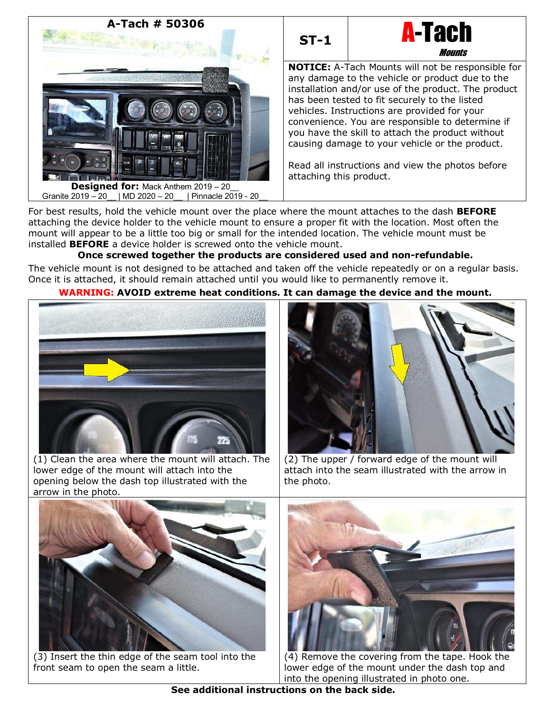





**NOTICE:** A-Tach Mounts will not be responsible for any damage to the vehicle or product due to the installation and/or use of the product. The product has been tested to fit securely to the listed vehicles. Instructions are provided for your convenience. You are responsible to determine if you have the skill to attach the product without causing damage to your vehicle or the product.

Read all instructions and view the photos before attaching this product.

For best results, hold the vehicle mount over the place where the mount attaches to the dash **BEFORE** attaching the device holder to the vehicle mount to ensure a proper fit with the location. Most often the mount will appear to be a little too big or small for the intended location. The vehicle mount must be installed **BEFORE** a device holder is screwed onto the vehicle mount.

# **Once screwed together the products are considered used and non-refundable.**

The vehicle mount is not designed to be attached and taken off the vehicle repeatedly or on a regular basis. Once it is attached, it should remain attached until you would like to permanently remove it.

## **WARNING: AVOID extreme heat conditions. It can damage the device and the mount.**



(1) Clean the area where the mount will attach. The lower edge of the mount will attach into the opening below the dash top illustrated with the arrow in the photo.



(2) The upper / forward edge of the mount will attach into the seam illustrated with the arrow in the photo.



(3) Insert the thin edge of the seam tool into the front seam to open the seam a little.



(4) Remove the covering from the tape. Hook the lower edge of the mount under the dash top and into the opening illustrated in photo one.